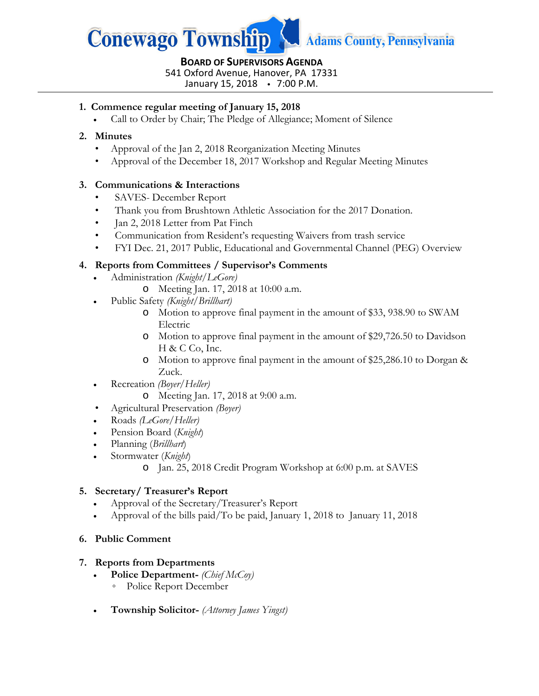

# **BOARD OF SUPERVISORS AGENDA** 541 Oxford Avenue, Hanover, PA 17331

January 15, 2018 7:00 P.M.

## **1. Commence regular meeting of January 15, 2018**

• Call to Order by Chair; The Pledge of Allegiance; Moment of Silence

### **2. Minutes**

- Approval of the Jan 2, 2018 Reorganization Meeting Minutes
- Approval of the December 18, 2017 Workshop and Regular Meeting Minutes

### **3. Communications & Interactions**

- SAVES- December Report
- Thank you from Brushtown Athletic Association for the 2017 Donation.
- Jan 2, 2018 Letter from Pat Finch
- Communication from Resident's requesting Waivers from trash service
- FYI Dec. 21, 2017 Public, Educational and Governmental Channel (PEG) Overview

### **4. Reports from Committees / Supervisor's Comments**

- Administration *(Knight/LeGore)*
	- o Meeting Jan. 17, 2018 at 10:00 a.m.
- Public Safety *(Knight/Brillhart)*
	- o Motion to approve final payment in the amount of \$33, 938.90 to SWAM Electric
	- o Motion to approve final payment in the amount of \$29,726.50 to Davidson H & C Co, Inc.
	- o Motion to approve final payment in the amount of \$25,286.10 to Dorgan & Zuck.
- Recreation *(Boyer/Heller)*
	- o Meeting Jan. 17, 2018 at 9:00 a.m.
- Agricultural Preservation *(Boyer)*
- Roads *(LeGore/Heller)*
- Pension Board (*Knight*)
- Planning (*Brillhart*)
- Stormwater (*Knight*)
	- o Jan. 25, 2018 Credit Program Workshop at 6:00 p.m. at SAVES

## **5. Secretary/ Treasurer's Report**

- Approval of the Secretary/Treasurer's Report
- Approval of the bills paid/To be paid, January 1, 2018 to January 11, 2018

#### **6. Public Comment**

#### **7. Reports from Departments**

- **Police Department-** *(Chief McCoy)*
	- Police Report December
- **Township Solicitor-** *(Attorney James Yingst)*